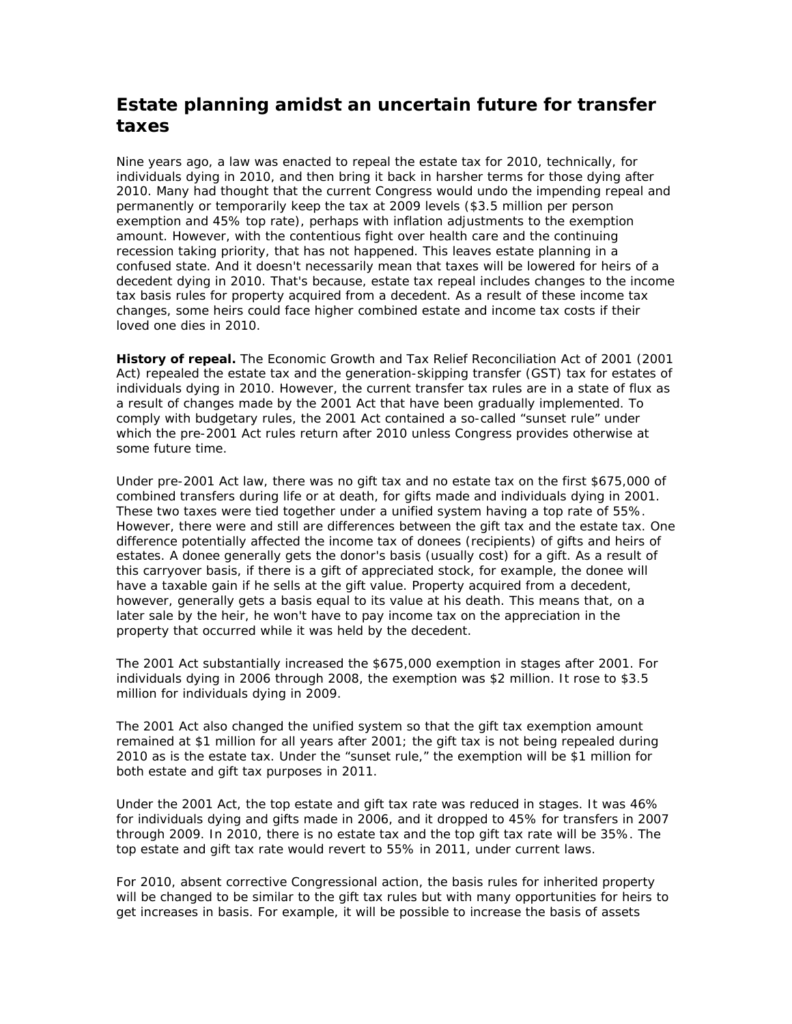## **Estate planning amidst an uncertain future for transfer taxes**

Nine years ago, a law was enacted to repeal the estate tax for 2010, technically, for individuals dying in 2010, and then bring it back in harsher terms for those dying after 2010. Many had thought that the current Congress would undo the impending repeal and permanently or temporarily keep the tax at 2009 levels (\$3.5 million per person exemption and 45% top rate), perhaps with inflation adjustments to the exemption amount. However, with the contentious fight over health care and the continuing recession taking priority, that has not happened. This leaves estate planning in a confused state. And it doesn't necessarily mean that taxes will be lowered for heirs of a decedent dying in 2010. That's because, estate tax repeal includes changes to the income tax basis rules for property acquired from a decedent. As a result of these income tax changes, some heirs could face higher combined estate and income tax costs if their loved one dies in 2010.

**History of repeal.** The Economic Growth and Tax Relief Reconciliation Act of 2001 (2001 Act) repealed the estate tax and the generation-skipping transfer (GST) tax for estates of individuals dying in 2010. However, the current transfer tax rules are in a state of flux as a result of changes made by the 2001 Act that have been gradually implemented. To comply with budgetary rules, the 2001 Act contained a so-called "sunset rule" under which the pre-2001 Act rules return after 2010 unless Congress provides otherwise at some future time.

Under pre-2001 Act law, there was no gift tax and no estate tax on the first \$675,000 of combined transfers during life or at death, for gifts made and individuals dying in 2001. These two taxes were tied together under a unified system having a top rate of 55%. However, there were and still are differences between the gift tax and the estate tax. One difference potentially affected the income tax of donees (recipients) of gifts and heirs of estates. A donee generally gets the donor's basis (usually cost) for a gift. As a result of this carryover basis, if there is a gift of appreciated stock, for example, the donee will have a taxable gain if he sells at the gift value. Property acquired from a decedent, however, generally gets a basis equal to its value at his death. This means that, on a later sale by the heir, he won't have to pay income tax on the appreciation in the property that occurred while it was held by the decedent.

The 2001 Act substantially increased the \$675,000 exemption in stages after 2001. For individuals dying in 2006 through 2008, the exemption was \$2 million. It rose to \$3.5 million for individuals dying in 2009.

The 2001 Act also changed the unified system so that the gift tax exemption amount remained at \$1 million for all years after 2001; the gift tax is not being repealed during 2010 as is the estate tax. Under the "sunset rule," the exemption will be \$1 million for both estate and gift tax purposes in 2011.

Under the 2001 Act, the top estate and gift tax rate was reduced in stages. It was 46% for individuals dying and gifts made in 2006, and it dropped to 45% for transfers in 2007 through 2009. In 2010, there is no estate tax and the top gift tax rate will be 35%. The top estate and gift tax rate would revert to 55% in 2011, under current laws.

For 2010, absent corrective Congressional action, the basis rules for inherited property will be changed to be similar to the gift tax rules but with many opportunities for heirs to get increases in basis. For example, it will be possible to increase the basis of assets